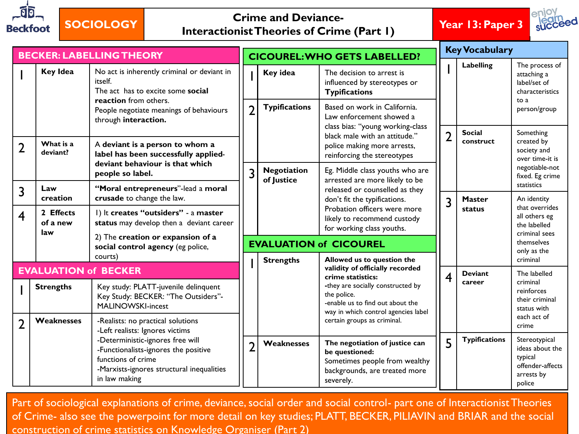

# **SOCIOLOGY Crime and Deviance-Interactionist Theories of Crime (Part 1) Year 13: Paper 3**



| <b>BECKER: LABELLING THEORY</b> |                       |                                                                                                                                                                                                   | <b>CICOUREL: WHO GETS LABELLED?</b> |                                  | <b>Key Vocabulary</b>                                                                                                                                      |                |                            |                                                                                          |
|---------------------------------|-----------------------|---------------------------------------------------------------------------------------------------------------------------------------------------------------------------------------------------|-------------------------------------|----------------------------------|------------------------------------------------------------------------------------------------------------------------------------------------------------|----------------|----------------------------|------------------------------------------------------------------------------------------|
|                                 | <b>Key Idea</b>       | No act is inherently criminal or deviant in<br>itself.<br>The act has to excite some social<br>reaction from others.                                                                              |                                     | Key idea                         | The decision to arrest is<br>influenced by stereotypes or<br><b>Typifications</b>                                                                          |                | Labelling                  | The process of<br>attaching a<br>label/set of<br>characteristics<br>to a<br>person/group |
|                                 |                       | People negotiate meanings of behaviours<br>through interaction.<br>A deviant is a person to whom a<br>label has been successfully applied-<br>deviant behaviour is that which<br>people so label. | $\overline{2}$                      | <b>Typifications</b>             | Based on work in California.<br>Law enforcement showed a<br>class bias: "young working-class                                                               |                |                            |                                                                                          |
| $\overline{2}$                  | What is a<br>deviant? |                                                                                                                                                                                                   |                                     |                                  | black male with an attitude."<br>police making more arrests,<br>reinforcing the stereotypes                                                                | $\overline{2}$ | <b>Social</b><br>construct | Something<br>created by<br>society and<br>over time-it is                                |
|                                 | Law                   |                                                                                                                                                                                                   | 3                                   | <b>Negotiation</b><br>of Justice | Eg. Middle class youths who are<br>arrested are more likely to be                                                                                          |                |                            | negotiable-not<br>fixed. Eg crime<br>statistics                                          |
| 3                               | creation              | "Moral entrepreneurs"-lead a moral<br>crusade to change the law.                                                                                                                                  |                                     |                                  | released or counselled as they<br>don't fit the typifications.<br>Probation officers were more<br>likely to recommend custody<br>for working class youths. | 3              | <b>Master</b><br>status    | An identity<br>that overrides<br>all others eg<br>the labelled                           |
| 4                               | 2 Effects<br>of a new | I) It creates "outsiders" - a master<br>status may develop then a deviant career                                                                                                                  |                                     |                                  |                                                                                                                                                            |                |                            |                                                                                          |
|                                 |                       | law<br>2) The creation or expansion of a<br>social control agency (eg police,<br>courts)                                                                                                          |                                     | <b>EVALUATION of CICOUREL</b>    |                                                                                                                                                            |                |                            | criminal sees<br>themselves                                                              |
|                                 |                       |                                                                                                                                                                                                   |                                     | <b>Strengths</b>                 | Allowed us to question the                                                                                                                                 |                |                            | only as the<br>criminal                                                                  |
| <b>EVALUATION of BECKER</b>     |                       |                                                                                                                                                                                                   |                                     |                                  | validity of officially recorded<br>crime statistics:                                                                                                       | 4              | <b>Deviant</b>             | The labelled<br>criminal                                                                 |
|                                 | <b>Strengths</b>      | Key study: PLATT-juvenile delinquent<br>Key Study: BECKER: "The Outsiders"-<br><b>MALINOWSKI-incest</b>                                                                                           |                                     |                                  | -they are socially constructed by<br>the police.<br>-enable us to find out about the<br>way in which control agencies label<br>certain groups as criminal. |                | career                     | reinforces<br>their criminal<br>status with                                              |
| $\overline{2}$                  | Weaknesses            | -Realists: no practical solutions<br>-Left realists: Ignores victims                                                                                                                              |                                     |                                  |                                                                                                                                                            |                |                            | each act of<br>crime                                                                     |
|                                 |                       | -Deterministic-ignores free will<br>-Functionalists-ignores the positive<br>functions of crime<br>-Marxists-ignores structural inequalities<br>in law making                                      | $\overline{2}$                      | Weaknesses                       | The negotiation of justice can<br>be questioned:<br>Sometimes people from wealthy<br>backgrounds, are treated more<br>severely.                            | 5              | <b>Typifications</b>       | Stereotypical<br>ideas about the<br>typical<br>offender-affects<br>arrests by<br>police  |

Part of sociological explanations of crime, deviance, social order and social control- part one of Interactionist Theories of Crime- also see the powerpoint for more detail on key studies; PLATT, BECKER, PILIAVIN and BRIAR and the social construction of crime statistics on Knowledge Organiser (Part 2)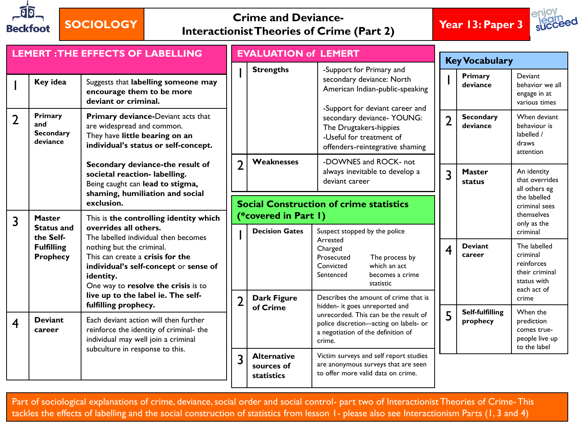

## **SOCIOLOGY Crime and Deviance-Interactionist Theories of Crime (Part 2) Year 13: Paper 3**



| <b>LEMERT: THE EFFECTS OF LABELLING</b> |                                                                                                                                                                                                                                                                                                                                                                     |                                                                                                                                            | <b>EVALUATION of LEMERT</b>                                            |                                                                                                                                                                | <b>Key Vocabulary</b>                                                                                                                                                                                       |                          |                                                                                                                   |                                                                         |
|-----------------------------------------|---------------------------------------------------------------------------------------------------------------------------------------------------------------------------------------------------------------------------------------------------------------------------------------------------------------------------------------------------------------------|--------------------------------------------------------------------------------------------------------------------------------------------|------------------------------------------------------------------------|----------------------------------------------------------------------------------------------------------------------------------------------------------------|-------------------------------------------------------------------------------------------------------------------------------------------------------------------------------------------------------------|--------------------------|-------------------------------------------------------------------------------------------------------------------|-------------------------------------------------------------------------|
|                                         | Key idea                                                                                                                                                                                                                                                                                                                                                            | Suggests that labelling someone may<br>encourage them to be more<br>deviant or criminal.                                                   |                                                                        | <b>Strengths</b>                                                                                                                                               | -Support for Primary and<br>secondary deviance: North<br>American Indian-public-speaking                                                                                                                    |                          | Primary<br>deviance                                                                                               | Deviant<br>behavior we all<br>engage in at<br>various times             |
| $\overline{2}$                          | Primary<br>and<br><b>Secondary</b><br>deviance                                                                                                                                                                                                                                                                                                                      | Primary deviance-Deviant acts that<br>are widespread and common.<br>They have little bearing on an<br>individual's status or self-concept. |                                                                        |                                                                                                                                                                | -Support for deviant career and<br>secondary deviance- YOUNG:<br>The Drugtakers-hippies<br>-Useful for treatment of<br>offenders-reintegrative shaming                                                      | $\overline{2}$           | <b>Secondary</b><br>deviance                                                                                      | When deviant<br>behaviour is<br>labelled /<br>draws<br>attention        |
|                                         |                                                                                                                                                                                                                                                                                                                                                                     | Secondary deviance-the result of<br>societal reaction- labelling.<br>Being caught can lead to stigma,<br>shaming, humiliation and social   | $\overline{2}$                                                         | Weaknesses                                                                                                                                                     | -DOWNES and ROCK- not<br>always inevitable to develop a<br>deviant career                                                                                                                                   | 3                        | <b>Master</b><br><b>status</b>                                                                                    | An identity<br>that overrides<br>all others eg<br>the labelled          |
| $\overline{3}$                          | exclusion.<br>This is the controlling identity which<br><b>Master</b>                                                                                                                                                                                                                                                                                               |                                                                                                                                            | <b>Social Construction of crime statistics</b><br>(*covered in Part I) |                                                                                                                                                                |                                                                                                                                                                                                             |                          |                                                                                                                   | criminal sees<br>themselves                                             |
|                                         | overrides all others.<br><b>Status and</b><br>the Self-<br>The labelled individual then becomes<br><b>Fulfilling</b><br>nothing but the criminal.<br><b>Prophecy</b><br>This can create a crisis for the<br>individual's self-concept or sense of<br>identity.<br>One way to resolve the crisis is to<br>live up to the label ie. The self-<br>fulfilling prophecy. |                                                                                                                                            | <b>Decision Gates</b>                                                  | Suspect stopped by the police<br>Arrested<br>Charged<br>Prosecuted<br>The process by<br>Convicted<br>which an act<br>Sentenced<br>becomes a crime<br>statistic | $\overline{4}$                                                                                                                                                                                              | <b>Deviant</b><br>career | only as the<br>criminal<br>The labelled<br>criminal<br>reinforces<br>their criminal<br>status with<br>each act of |                                                                         |
|                                         |                                                                                                                                                                                                                                                                                                                                                                     |                                                                                                                                            | $\overline{2}$                                                         | <b>Dark Figure</b><br>of Crime                                                                                                                                 | Describes the amount of crime that is<br>hidden- it goes unreported and<br>unrecorded. This can be the result of<br>police discretion--acting on labels- or<br>a negotiation of the definition of<br>crime. |                          |                                                                                                                   | crime                                                                   |
| $\overline{\mathbf{4}}$                 | <b>Deviant</b><br>career                                                                                                                                                                                                                                                                                                                                            | Each deviant action will then further<br>reinforce the identity of criminal- the<br>individual may well join a criminal                    |                                                                        |                                                                                                                                                                |                                                                                                                                                                                                             | 5                        | Self-fulfilling<br>prophecy                                                                                       | When the<br>prediction<br>comes true-<br>people live up<br>to the label |
|                                         |                                                                                                                                                                                                                                                                                                                                                                     | subculture in response to this.                                                                                                            | 3                                                                      | <b>Alternative</b><br>sources of<br>statistics                                                                                                                 | Victim surveys and self report studies<br>are anonymous surveys that are seen<br>to offer more valid data on crime.                                                                                         |                          |                                                                                                                   |                                                                         |

Part of sociological explanations of crime, deviance, social order and social control- part two of Interactionist Theories of Crime-This tackles the effects of labelling and the social construction of statistics from lesson 1- please also see Interactionism Parts (1, 3 and 4)